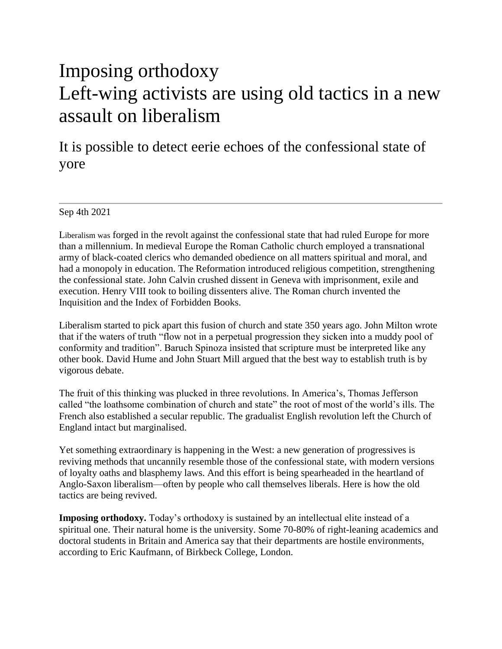## Imposing orthodoxy Left-wing activists are using old tactics in a new assault on liberalism

It is possible to detect eerie echoes of the confessional state of yore

## Sep 4th 2021

Liberalism was forged in the revolt against the confessional state that had ruled Europe for more than a millennium. In medieval Europe the Roman Catholic church employed a transnational army of black-coated clerics who demanded obedience on all matters spiritual and moral, and had a monopoly in education. The Reformation introduced religious competition, strengthening the confessional state. John Calvin crushed dissent in Geneva with imprisonment, exile and execution. Henry VIII took to boiling dissenters alive. The Roman church invented the Inquisition and the Index of Forbidden Books.

Liberalism started to pick apart this fusion of church and state 350 years ago. John Milton wrote that if the waters of truth "flow not in a perpetual progression they sicken into a muddy pool of conformity and tradition". Baruch Spinoza insisted that scripture must be interpreted like any other book. David Hume and John Stuart Mill argued that the best way to establish truth is by vigorous debate.

The fruit of this thinking was plucked in three revolutions. In America's, Thomas Jefferson called "the loathsome combination of church and state" the root of most of the world's ills. The French also established a secular republic. The gradualist English revolution left the Church of England intact but marginalised.

Yet something extraordinary is happening in the West: a new generation of progressives is reviving methods that uncannily resemble those of the confessional state, with modern versions of loyalty oaths and blasphemy laws. And this effort is being spearheaded in the heartland of Anglo-Saxon liberalism—often by people who call themselves liberals. Here is how the old tactics are being revived.

**Imposing orthodoxy.** Today's orthodoxy is sustained by an intellectual elite instead of a spiritual one. Their natural home is the university. Some 70-80% of right-leaning academics and doctoral students in Britain and America say that their departments are hostile environments, according to Eric Kaufmann, of Birkbeck College, London.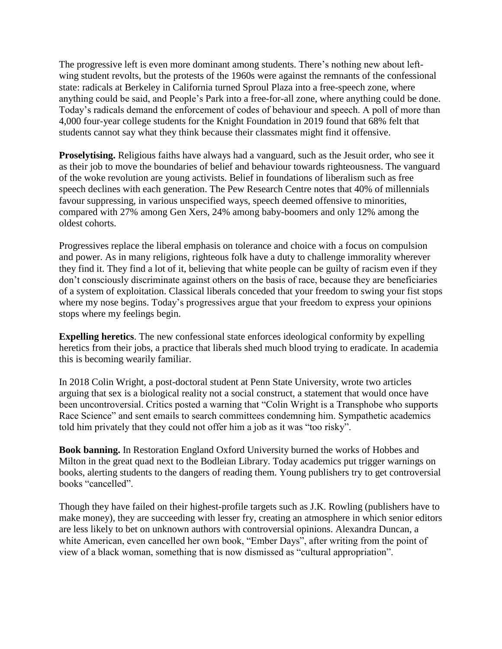The progressive left is even more dominant among students. There's nothing new about leftwing student revolts, but the protests of the 1960s were against the remnants of the confessional state: radicals at Berkeley in California turned Sproul Plaza into a free-speech zone, where anything could be said, and People's Park into a free-for-all zone, where anything could be done. Today's radicals demand the enforcement of codes of behaviour and speech. A poll of more than 4,000 four-year college students for the Knight Foundation in 2019 found that 68% felt that students cannot say what they think because their classmates might find it offensive.

**Proselytising.** Religious faiths have always had a vanguard, such as the Jesuit order, who see it as their job to move the boundaries of belief and behaviour towards righteousness. The vanguard of the woke revolution are young activists. Belief in foundations of liberalism such as free speech declines with each generation. The Pew Research Centre notes that 40% of millennials favour suppressing, in various unspecified ways, speech deemed offensive to minorities, compared with 27% among Gen Xers, 24% among baby-boomers and only 12% among the oldest cohorts.

Progressives replace the liberal emphasis on tolerance and choice with a focus on compulsion and power. As in many religions, righteous folk have a duty to challenge immorality wherever they find it. They find a lot of it, believing that white people can be guilty of racism even if they don't consciously discriminate against others on the basis of race, because they are beneficiaries of a system of exploitation. Classical liberals conceded that your freedom to swing your fist stops where my nose begins. Today's progressives argue that your freedom to express your opinions stops where my feelings begin.

**Expelling heretics**. The new confessional state enforces ideological conformity by expelling heretics from their jobs, a practice that liberals shed much blood trying to eradicate. In academia this is becoming wearily familiar.

In 2018 Colin Wright, a post-doctoral student at Penn State University, wrote two articles arguing that sex is a biological reality not a social construct, a statement that would once have been uncontroversial. Critics posted a warning that "Colin Wright is a Transphobe who supports Race Science" and sent emails to search committees condemning him. Sympathetic academics told him privately that they could not offer him a job as it was "too risky".

**Book banning.** In Restoration England Oxford University burned the works of Hobbes and Milton in the great quad next to the Bodleian Library. Today academics put trigger warnings on books, alerting students to the dangers of reading them. Young publishers try to get controversial books "cancelled".

Though they have failed on their highest-profile targets such as J.K. Rowling (publishers have to make money), they are succeeding with lesser fry, creating an atmosphere in which senior editors are less likely to bet on unknown authors with controversial opinions. Alexandra Duncan, a white American, even cancelled her own book, "Ember Days", after writing from the point of view of a black woman, something that is now dismissed as "cultural appropriation".